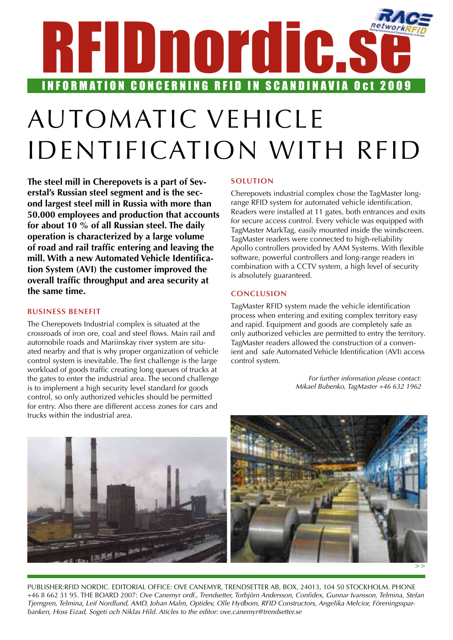# RFIDnordic.s INFORMATION CONCERNING RFID IN SCANDINAVIA Oct 2009

# Automatic vehicle identification with RFID

**The steel mill in Cherepovets is a part of Severstal's Russian steel segment and is the second largest steel mill in Russia with more than 50.000 employees and production that accounts for about 10 % of all Russian steel. The daily operation is characterized by a large volume of road and rail traffic entering and leaving the mill. With a new Automated Vehicle Identification System (AVI) the customer improved the overall traffic throughput and area security at the same time.**

# **Business Benefit**

The Cherepovets Industrial complex is situated at the crossroads of iron ore, coal and steel flows. Main rail and automobile roads and Mariinskay river system are situated nearby and that is why proper organization of vehicle control system is inevitable. The first challenge is the large workload of goods traffic creating long queues of trucks at the gates to enter the industrial area. The second challenge is to implement a high security level standard for goods control, so only authorized vehicles should be permitted for entry. Also there are different access zones for cars and trucks within the industrial area.

### **Solution**

Cherepovets industrial complex chose the TagMaster longrange RFID system for automated vehicle identification. Readers were installed at 11 gates, both entrances and exits for secure access control. Every vehicle was equipped with TagMaster MarkTag, easily mounted inside the windscreen. TagMaster readers were connected to high-reliability Apollo controllers provided by AAM Systems. With flexible software, powerful controllers and long-range readers in combination with a CCTV system, a high level of security is absolutely guaranteed.

# **Conclusion**

TagMaster RFID system made the vehicle identification process when entering and exiting complex territory easy and rapid. Equipment and goods are completely safe as only authorized vehicles are permitted to entry the territory. TagMaster readers allowed the construction of a convenient and safe Automated Vehicle Identification (AVI) access control system.

> *For further information please contact: Mikael Bubenko, TagMaster +46 632 1962*



Publisher:RFID Nordic. Editorial office: Ove Canemyr, Trendsetter AB, Box, 24013, 104 50 Stockholm. Phone +46 8 662 31 95. the board 2007: *Ove Canemyr ordf., Trendsetter, Torbjörn Andersson, Confidex, Gunnar Ivansson, Telmina, Stefan Tjerngren, Telmina, Leif Nordlund, AMD, Johan Malm, Optidev, Olle Hydbom, RFID Constructors, Angelika Melcior, Föreningssparbanken, Hoss Eizad, Sogeti och Niklas Hild. Aticles to the editor: ove.canemyr@trendsetter.se*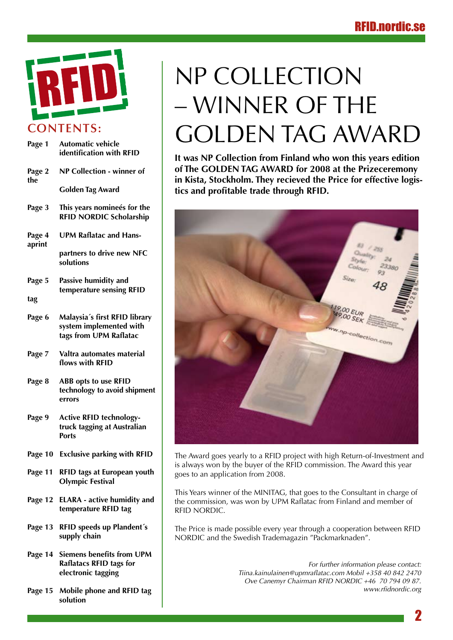

| Page 1           | <b>Automatic vehicle</b><br>identification with RFID                                      |
|------------------|-------------------------------------------------------------------------------------------|
| Page 2<br>the    | NP Collection - winner of                                                                 |
|                  | <b>Golden Tag Award</b>                                                                   |
| Page 3           | This years nomineés for the<br><b>RFID NORDIC Scholarship</b>                             |
| Page 4<br>aprint | <b>UPM Raflatac and Hans-</b>                                                             |
|                  | partners to drive new NFC<br>solutions                                                    |
| Page 5           | Passive humidity and<br>temperature sensing RFID                                          |
| tag              |                                                                                           |
| Page 6           | Malaysia's first RFID library<br>system implemented with<br>tags from UPM Raflatac        |
| Page 7           | Valtra automates material<br>flows with RFID                                              |
| Page 8           | <b>ABB opts to use RFID</b><br>technology to avoid shipment<br>errors                     |
| Page 9           | <b>Active RFID technology-</b><br>truck tagging at Australian<br><b>Ports</b>             |
| Page 10          | <b>Exclusive parking with RFID</b>                                                        |
| Page 11          | RFID tags at European youth<br><b>Olympic Festival</b>                                    |
| Page 12          | <b>ELARA</b> - active humidity and<br>temperature RFID tag                                |
| Page 13          | RFID speeds up Plandent's<br>supply chain                                                 |
|                  | Page 14 Siemens benefits from UPM<br><b>Raflatacs RFID tags for</b><br>electronic tagging |

**Page 15 Mobile phone and RFID tag solution**

# NP COLLECTION – winner of the GOLDEN TAG AWARD

**It was NP Collection from Finland who won this years edition of The GOLDEN TAG AWARD for 2008 at the Prizeceremony in Kista, Stockholm. They recieved the Price for effective logistics and profitable trade through RFID.** 



The Award goes yearly to a RFID project with high Return-of-Investment and is always won by the buyer of the RFID commission. The Award this year goes to an application from 2008.

This Years winner of the MINITAG, that goes to the Consultant in charge of the commission, was won by UPM Raflatac from Finland and member of RFID NORDIC.

The Price is made possible every year through a cooperation between RFID NORDIC and the Swedish Trademagazin "Packmarknaden".

> *For further information please contact: Tiina.kainulainen@upmraflatac.com Mobil +358 40 842 2470 Ove Canemyr Chairman RFID NORDIC +46 70 794 09 87. www.rfidnordic.org*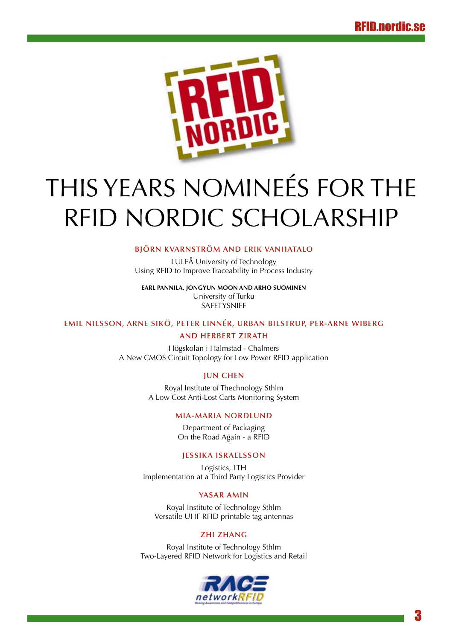

# THIS YEARS NOMINEÉS FOR THE RFID NORDIC SCHOLARSHIP

### **Björn Kvarnström and Erik Vanhatalo**

LULEÅ University of Technology Using RFID to Improve Traceability in Process Industry

**Earl Pannila, Jongyun Moon and Arho Suominen**  University of Turku SAFETYSNIFF

# **Emil Nilsson, Arne Sikö, Peter Linnér, Urban Bilstrup, Per-Arne Wiberg and Herbert Zirath**

Högskolan i Halmstad - Chalmers A New CMOS Circuit Topology for Low Power RFID application

### **Jun Chen**

Royal Institute of Thechnology Sthlm A Low Cost Anti-Lost Carts Monitoring System

### **Mia-Maria Nordlund**

Department of Packaging On the Road Again - a RFID

### **Jessika Israelsson**

Logistics, LTH Implementation at a Third Party Logistics Provider

### **Yasar Amin**

Royal Institute of Technology Sthlm Versatile UHF RFID printable tag antennas

### **Zhi Zhang**

Royal Institute of Technology Sthlm Two-Layered RFID Network for Logistics and Retail

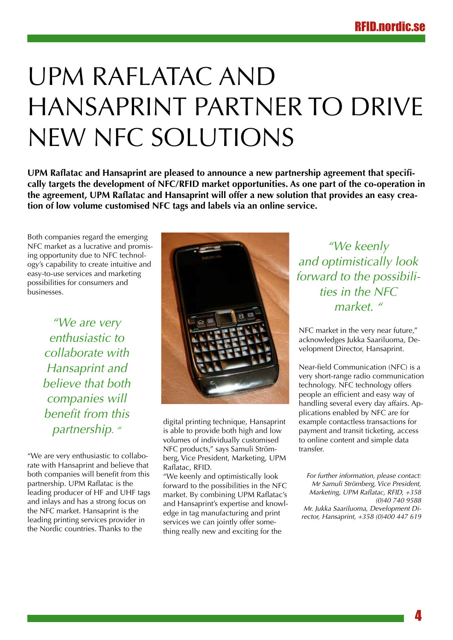# UPM Raflatac and Hansaprint partner to drive new NFC solutions

**UPM Raflatac and Hansaprint are pleased to announce a new partnership agreement that specifically targets the development of NFC/RFID market opportunities. As one part of the co-operation in the agreement, UPM Raflatac and Hansaprint will offer a new solution that provides an easy creation of low volume customised NFC tags and labels via an online service.**

Both companies regard the emerging NFC market as a lucrative and promising opportunity due to NFC technology's capability to create intuitive and easy-to-use services and marketing possibilities for consumers and businesses.

> *"We are very enthusiastic to collaborate with Hansaprint and believe that both companies will benefit from this partnership. "*

"We are very enthusiastic to collaborate with Hansaprint and believe that both companies will benefit from this partnership. UPM Raflatac is the leading producer of HF and UHF tags and inlays and has a strong focus on the NFC market. Hansaprint is the leading printing services provider in the Nordic countries. Thanks to the



digital printing technique, Hansaprint is able to provide both high and low volumes of individually customised NFC products," says Samuli Strömberg, Vice President, Marketing, UPM Raflatac, RFID.

"We keenly and optimistically look forward to the possibilities in the NFC market. By combining UPM Raflatac's and Hansaprint's expertise and knowledge in tag manufacturing and print services we can jointly offer something really new and exciting for the

*"We keenly and optimistically look forward to the possibilities in the NFC market. "*

NFC market in the very near future," acknowledges Jukka Saariluoma, Development Director, Hansaprint.

Near-field Communication (NFC) is a very short-range radio communication technology. NFC technology offers people an efficient and easy way of handling several every day affairs. Applications enabled by NFC are for example contactless transactions for payment and transit ticketing, access to online content and simple data transfer.

*For further information, please contact: Mr Samuli Strömberg, Vice President, Marketing, UPM Raflatac, RFID, +358 (0)40 740 9588 Mr. Jukka Saariluoma, Development Director, Hansaprint, +358 (0)400 447 619*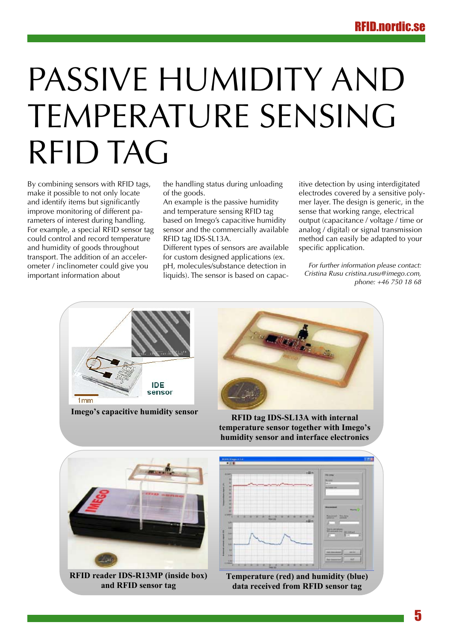# PASSIVE HUMIDITY AND temperature sensing RFID tag**Passive humidity and temperature sensing RFID tag**

By combining sensors with RFID tags, make it possible to not only locate and identify items but significantly improve monitoring of different pa- and temperature status rameters of interest during handling. For example, a special RFID sensor tag could control and record temperature http: RFID tag IDS-SL13A. and humidity of goods throughout transport. The addition of an accelerometer / inclinometer could give you important information about

ing sensors with RFID tags, the handling status during unloading itive detection by using in of the goods. ing sensors with KFID tags,  $\;\;\;$  the handling status during unioading  $\;\;\;$  itive detection by using in

y items but significantly An example is the passive humidity mer layer. The design is ge and temperature sensing RFID tag based on Imego's capacitive humidity e, a special RFID sensor tag asensor and the commercially available analog / digital) or signal t RFID tag IDS-SL13A.

Different types of sensors are available he addition of an acceler-**the for custom designed applications (ex**. clinometer could give you bH, molecules/substance detection in light for further information pl nformation about **interacted by a sensitive interact** on capac- *Cristina Rusu cristina.rusu* 

itive detection by using interdigitated ssible to not only locate of the goods. The electrodes covered by a sensitive poly-<br>
and humidity of the goods throughout the sensor of the goods throughout the sensor of the goods throughout th mer layer. The design is generic, in the sense that working range, electrical output (capacitance / voltage / time or analog / digital) or signal transmission method can easily be adapted to your specific application.

*For further information please contact: Cristina Rusu cristina.rusu@imego.com, phone: +46 750 18 68*  $p$ none:  $+$ 



Imego's capacitive humidity sensor<br>RFID tag IDS-SL13A with internal

**temperature sensor together with Imego's humidity sensor and interface electronics** 

**Tage** 



**and RFID sensor tag** 

Imego AB (www.imego.com)

Cristina Rusu cristina.rusu@imego.com, phone: +46 750 18 68

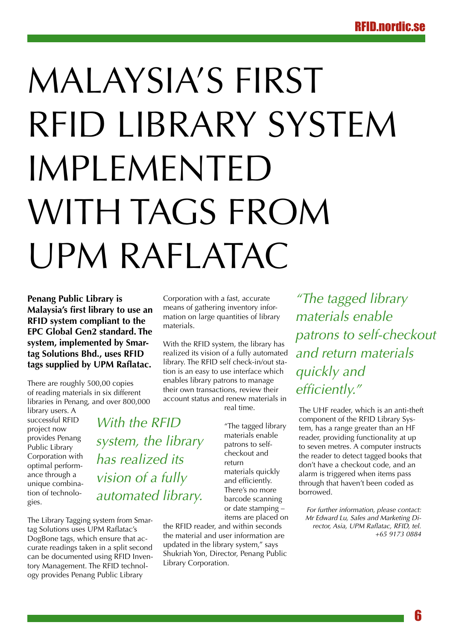# Malaysia's first RFID library system implemented WITH TAGS FROM UPM Raflatac

**Penang Public Library is Malaysia's first library to use an RFID system compliant to the EPC Global Gen2 standard. The system, implemented by Smartag Solutions Bhd., uses RFID tags supplied by UPM Raflatac.**

There are roughly 500,00 copies of reading materials in six different libraries in Penang, and over 800,000

*With the RFID* 

*has realized its* 

*vision of a fully* 

*automated library.*

*system, the library* 

library users. A successful RFID project now provides Penang Public Library Corporation with optimal performance through a unique combination of technologies.

The Library Tagging system from Smartag Solutions uses UPM Raflatac's DogBone tags, which ensure that accurate readings taken in a split second can be documented using RFID Inventory Management. The RFID technology provides Penang Public Library

Corporation with a fast, accurate means of gathering inventory information on large quantities of library materials.

With the RFID system, the library has realized its vision of a fully automated library. The RFID self check-in/out station is an easy to use interface which enables library patrons to manage their own transactions, review their account status and renew materials in

real time.

and efficiently. There's no more barcode scanning or date stamping – items are placed on

the RFID reader, and within seconds the material and user information are updated in the library system," says Shukriah Yon, Director, Penang Public Library Corporation.

*"The tagged library materials enable patrons to self-checkout and return materials quickly and efficiently."*

The UHF reader, which is an anti-theft component of the RFID Library System, has a range greater than an HF reader, providing functionality at up to seven metres. A computer instructs the reader to detect tagged books that don't have a checkout code, and an alarm is triggered when items pass through that haven't been coded as borrowed.

*For further information, please contact: Mr Edward Lu, Sales and Marketing Director, Asia, UPM Raflatac, RFID, tel. +65 9173 0884*

"The tagged library materials enable patrons to selfcheckout and return materials quickly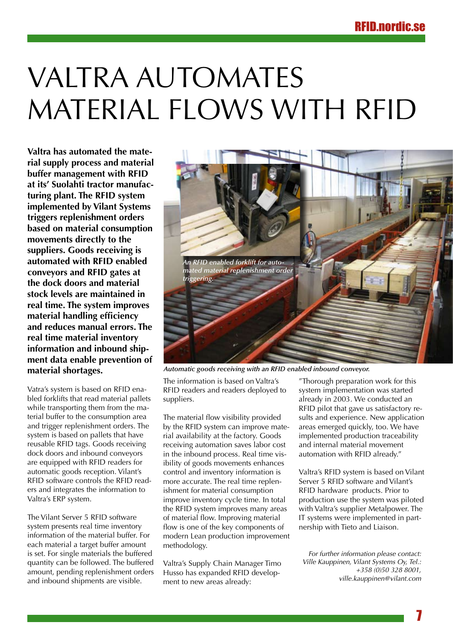# **VALTRA AUTOMATES** material flows with RFID

**Valtra has automated the material supply process and material buffer management with RFID at its' Suolahti tractor manufacturing plant. The RFID system implemented by Vilant Systems triggers replenishment orders based on material consumption movements directly to the suppliers. Goods receiving is automated with RFID enabled conveyors and RFID gates at the dock doors and material stock levels are maintained in real time. The system improves material handling efficiency and reduces manual errors. The real time material inventory information and inbound shipment data enable prevention of material shortages.**

Vatra's system is based on RFID enabled forklifts that read material pallets while transporting them from the material buffer to the consumption area and trigger replenishment orders. The system is based on pallets that have reusable RFID tags. Goods receiving dock doors and inbound conveyors are equipped with RFID readers for automatic goods reception. Vilant's RFID software controls the RFID readers and integrates the information to Valtra's ERP system.

The Vilant Server 5 RFID software system presents real time inventory information of the material buffer. For each material a target buffer amount is set. For single materials the buffered quantity can be followed. The buffered amount, pending replenishment orders and inbound shipments are visible.



*Automatic goods receiving with an RFID enabled inbound conveyor.*

The information is based on Valtra's RFID readers and readers deployed to suppliers.

The material flow visibility provided by the RFID system can improve material availability at the factory. Goods receiving automation saves labor cost in the inbound process. Real time visibility of goods movements enhances control and inventory information is more accurate. The real time replenishment for material consumption improve inventory cycle time. In total the RFID system improves many areas of material flow. Improving material flow is one of the key components of modern Lean production improvement methodology.

Valtra's Supply Chain Manager Timo Husso has expanded RFID development to new areas already:

"Thorough preparation work for this system implementation was started already in 2003. We conducted an RFID pilot that gave us satisfactory results and experience. New application areas emerged quickly, too. We have implemented production traceability and internal material movement automation with RFID already."

Valtra's RFID system is based on Vilant Server 5 RFID software and Vilant's RFID hardware products. Prior to production use the system was piloted with Valtra's supplier Metalpower. The IT systems were implemented in partnership with Tieto and Liaison.

*For further information please contact: Ville Kauppinen, Vilant Systems Oy, Tel.: +358 (0)50 328 8001, ville.kauppinen@vilant.com*

7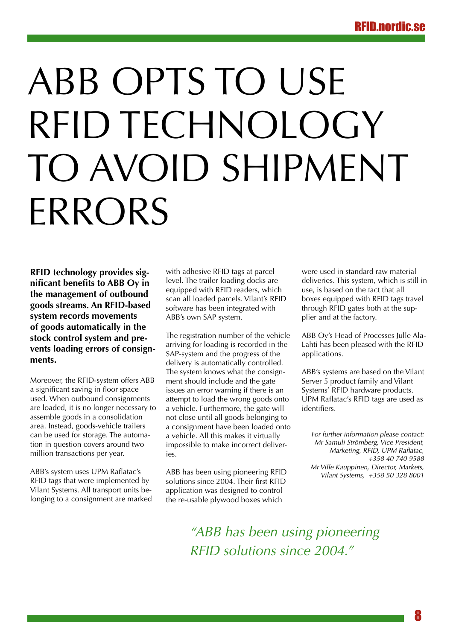# ABB opts to use RFID TECHNOLOGY to avoid shipment **ERRORS**

**RFID technology provides significant benefits to ABB Oy in the management of outbound goods streams. An RFID-based system records movements of goods automatically in the stock control system and prevents loading errors of consignments.**

Moreover, the RFID-system offers ABB a significant saving in floor space used. When outbound consignments are loaded, it is no longer necessary to assemble goods in a consolidation area. Instead, goods-vehicle trailers can be used for storage. The automation in question covers around two million transactions per year.

ABB's system uses UPM Raflatac's RFID tags that were implemented by Vilant Systems. All transport units belonging to a consignment are marked with adhesive RFID tags at parcel level. The trailer loading docks are equipped with RFID readers, which scan all loaded parcels. Vilant's RFID software has been integrated with ABB's own SAP system.

The registration number of the vehicle arriving for loading is recorded in the SAP-system and the progress of the delivery is automatically controlled. The system knows what the consignment should include and the gate issues an error warning if there is an attempt to load the wrong goods onto a vehicle. Furthermore, the gate will not close until all goods belonging to a consignment have been loaded onto a vehicle. All this makes it virtually impossible to make incorrect deliveries.

ABB has been using pioneering RFID solutions since 2004. Their first RFID application was designed to control the re-usable plywood boxes which

were used in standard raw material deliveries. This system, which is still in use, is based on the fact that all boxes equipped with RFID tags travel through RFID gates both at the supplier and at the factory.

ABB Oy's Head of Processes Julle Ala-Lahti has been pleased with the RFID applications.

ABB's systems are based on the Vilant Server 5 product family and Vilant Systems' RFID hardware products. UPM Raflatac's RFID tags are used as identifiers.

*For further information please contact: Mr Samuli Strömberg, Vice President, Marketing, RFID, UPM Raflatac, +358 40 740 9588 Mr Ville Kauppinen, Director, Markets, Vilant Systems, +358 50 328 8001*

*"ABB has been using pioneering RFID solutions since 2004."*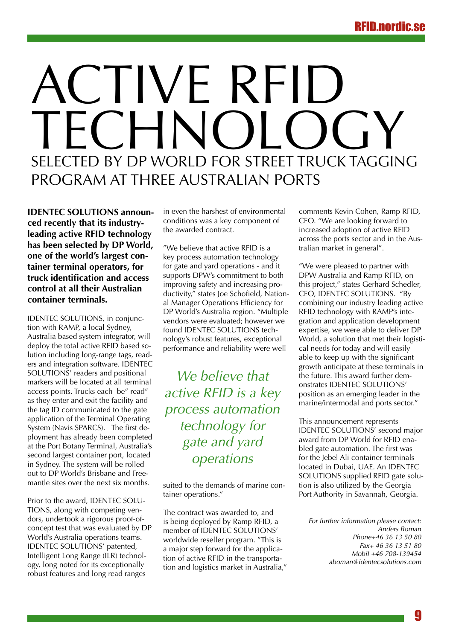# ACTIVE RFID TECHNOL SELECTED BY DP WORLD FOR STREET TRUCK TAGGING PROGRAM AT THREE AUSTRALIAN PORTS

**IDENTEC SOLUTIONS announced recently that its industryleading active RFID technology has been selected by DP World, one of the world's largest container terminal operators, for truck identification and access control at all their Australian container terminals.**

IDENTEC SOLUTIONS, in conjunction with RAMP, a local Sydney, Australia based system integrator, will deploy the total active RFID based solution including long-range tags, readers and integration software. IDENTEC SOLUTIONS' readers and positional markers will be located at all terminal access points. Trucks each be" read" as they enter and exit the facility and the tag ID communicated to the gate application of the Terminal Operating System (Navis SPARCS). The first deployment has already been completed at the Port Botany Terminal, Australia's second largest container port, located in Sydney. The system will be rolled out to DP World's Brisbane and Freemantle sites over the next six months.

Prior to the award, IDENTEC SOLU-TIONS, along with competing vendors, undertook a rigorous proof-ofconcept test that was evaluated by DP World's Australia operations teams. IDENTEC SOLUTIONS' patented, Intelligent Long Range (ILR) technology, long noted for its exceptionally robust features and long read ranges

in even the harshest of environmental conditions was a key component of the awarded contract.

"We believe that active RFID is a key process automation technology for gate and yard operations - and it supports DPW's commitment to both improving safety and increasing productivity," states Joe Schofield, National Manager Operations Efficiency for DP World's Australia region. "Multiple vendors were evaluated; however we found IDENTEC SOLUTIONS technology's robust features, exceptional performance and reliability were well

*We believe that active RFID is a key process automation technology for gate and yard operations* 

suited to the demands of marine container operations."

The contract was awarded to, and is being deployed by Ramp RFID, a member of IDENTEC SOLUTIONS' worldwide reseller program. "This is a major step forward for the application of active RFID in the transportation and logistics market in Australia," comments Kevin Cohen, Ramp RFID, CEO. "We are looking forward to increased adoption of active RFID across the ports sector and in the Australian market in general".

"We were pleased to partner with DPW Australia and Ramp RFID, on this project," states Gerhard Schedler, CEO, IDENTEC SOLUTIONS. "By combining our industry leading active RFID technology with RAMP's integration and application development expertise, we were able to deliver DP World, a solution that met their logistical needs for today and will easily able to keep up with the significant growth anticipate at these terminals in the future. This award further demonstrates IDENTEC SOLUTIONS' position as an emerging leader in the marine/intermodal and ports sector."

This announcement represents IDENTEC SOLUTIONS' second major award from DP World for RFID enabled gate automation. The first was for the Jebel Ali container terminals located in Dubai, UAE. An IDENTEC SOLUTIONS supplied RFID gate solution is also utilized by the Georgia Port Authority in Savannah, Georgia.

*For further information please contact: Anders Boman Phone+46 36 13 50 80 Fax+ 46 36 13 51 80 Mobil +46 708-139454 aboman@identecsolutions.com*

**g**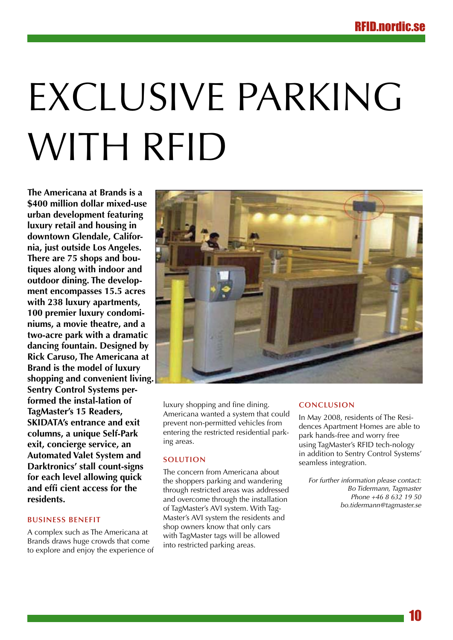# Exclusive parking with RFID

**The Americana at Brands is a \$400 million dollar mixed-use urban development featuring luxury retail and housing in downtown Glendale, California, just outside Los Angeles. There are 75 shops and boutiques along with indoor and outdoor dining. The development encompasses 15.5 acres with 238 luxury apartments, 100 premier luxury condominiums, a movie theatre, and a two-acre park with a dramatic dancing fountain. Designed by Rick Caruso, The Americana at Brand is the model of luxury shopping and convenient living. Sentry Control Systems performed the instal-lation of TagMaster's 15 Readers, SKIDATA's entrance and exit columns, a unique Self-Park exit, concierge service, an Automated Valet System and Darktronics' stall count-signs for each level allowing quick and effi cient access for the residents.**

# **Business Benefit**

A complex such as The Americana at Brands draws huge crowds that come to explore and enjoy the experience of



luxury shopping and fine dining. Americana wanted a system that could prevent non-permitted vehicles from entering the restricted residential parking areas.

### **Solution**

The concern from Americana about the shoppers parking and wandering through restricted areas was addressed and overcome through the installation of TagMaster's AVI system. With Tag-Master's AVI system the residents and shop owners know that only cars with TagMaster tags will be allowed into restricted parking areas.

### **Conclusion**

In May 2008, residents of The Residences Apartment Homes are able to park hands-free and worry free using TagMaster's RFID tech-nology in addition to Sentry Control Systems' seamless integration.

*For further information please contact: Bo Tidermann, Tagmaster Phone +46 8 632 19 50 bo.tidermann@tagmaster.se*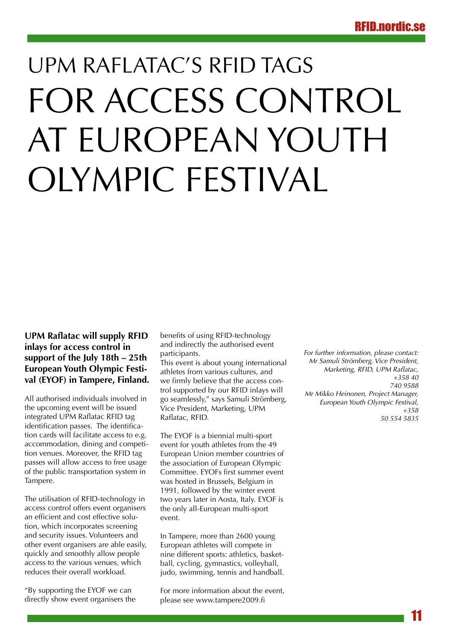# UPM Raflatac's RFID tags for access control at European Youth Olympic Festival

# **UPM Raflatac will supply RFID inlays for access control in support of the July 18th – 25th European Youth Olympic Festival (EYOF) in Tampere, Finland.**

All authorised individuals involved in the upcoming event will be issued integrated UPM Raflatac RFID tag identification passes. The identification cards will facilitate access to e.g. accommodation, dining and competition venues. Moreover, the RFID tag passes will allow access to free usage of the public transportation system in Tampere.

The utilisation of RFID-technology in access control offers event organisers an efficient and cost effective solution, which incorporates screening and security issues. Volunteers and other event organisers are able easily, quickly and smoothly allow people access to the various venues, which reduces their overall workload.

"By supporting the EYOF we can directly show event organisers the benefits of using RFID-technology and indirectly the authorised event participants.

This event is about young international athletes from various cultures, and we firmly believe that the access control supported by our RFID inlays will go seamlessly," says Samuli Strömberg, Vice President, Marketing, UPM Raflatac, RFID.

The EYOF is a biennial multi-sport event for youth athletes from the 49 European Union member countries of the association of European Olympic Committee. EYOFs first summer event was hosted in Brussels, Belgium in 1991, followed by the winter event two years later in Aosta, Italy. EYOF is the only all-European multi-sport event.

In Tampere, more than 2600 young European athletes will compete in nine different sports: athletics, basketball, cycling, gymnastics, volleyball, judo, swimming, tennis and handball.

For more information about the event, please see www.tampere2009.fi

*For further information, please contact: Mr Samuli Strömberg, Vice President, Marketing, RFID, UPM Raflatac, +358 40 740 9588 Mr Mikko Heinonen, Project Manager, European Youth Olympic Festival, +358 50 554 5835*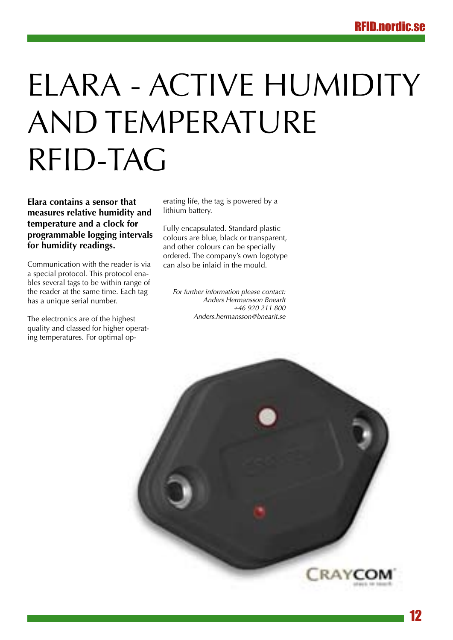# Elara - Active humidity and temperature RFID-TAG

**Elara contains a sensor that measures relative humidity and temperature and a clock for programmable logging intervals for humidity readings.**

Communication with the reader is via a special protocol. This protocol enables several tags to be within range of the reader at the same time. Each tag has a unique serial number.

The electronics are of the highest quality and classed for higher operating temperatures. For optimal operating life, the tag is powered by a lithium battery.

Fully encapsulated. Standard plastic colours are blue, black or transparent, and other colours can be specially ordered. The company's own logotype can also be inlaid in the mould.

*For further information please contact: Anders Hermansson BnearIt +46 920 211 800 Anders.hermansson@bnearit.se*

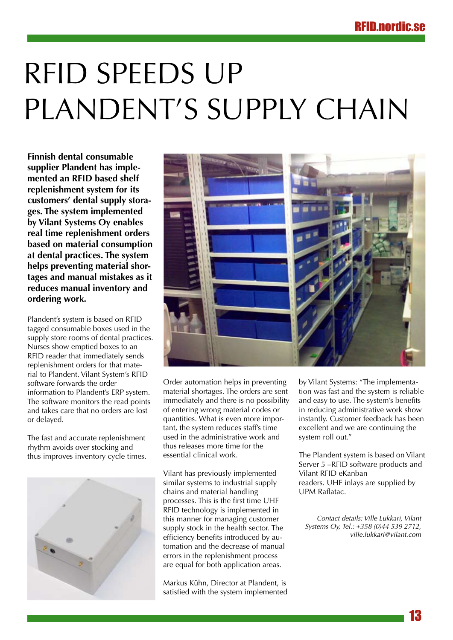# RFID speeds up PLANDENT'S SUPPLY CHAIN

**Finnish dental consumable supplier Plandent has implemented an RFID based shelf replenishment system for its customers' dental supply storages. The system implemented by Vilant Systems Oy enables real time replenishment orders based on material consumption at dental practices. The system helps preventing material shortages and manual mistakes as it reduces manual inventory and ordering work.**

Plandent's system is based on RFID tagged consumable boxes used in the supply store rooms of dental practices. Nurses show emptied boxes to an RFID reader that immediately sends replenishment orders for that material to Plandent. Vilant System's RFID software forwards the order information to Plandent's ERP system. The software monitors the read points and takes care that no orders are lost or delayed.

The fast and accurate replenishment rhythm avoids over stocking and thus improves inventory cycle times.





Order automation helps in preventing material shortages. The orders are sent immediately and there is no possibility of entering wrong material codes or quantities. What is even more important, the system reduces staff's time used in the administrative work and thus releases more time for the essential clinical work.

Vilant has previously implemented similar systems to industrial supply chains and material handling processes. This is the first time UHF RFID technology is implemented in this manner for managing customer supply stock in the health sector. The efficiency benefits introduced by automation and the decrease of manual errors in the replenishment process are equal for both application areas.

Markus Kühn, Director at Plandent, is satisfied with the system implemented by Vilant Systems: "The implementation was fast and the system is reliable and easy to use. The system's benefits in reducing administrative work show instantly. Customer feedback has been excellent and we are continuing the system roll out."

The Plandent system is based on Vilant Server 5 –RFID software products and Vilant RFID eKanban readers. UHF inlays are supplied by UPM Raflatac.

*Contact details: Ville Lukkari, Vilant Systems Oy, Tel.: +358 (0)44 539 2712, ville.lukkari@vilant.com*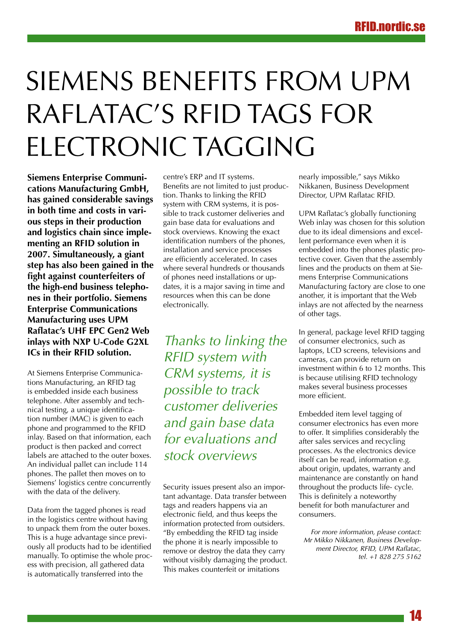# SIEMENS BENEFITS FROM UPM Raflatac's RFID tags for electronic tagging

**Siemens Enterprise Communications Manufacturing GmbH, has gained considerable savings in both time and costs in various steps in their production and logistics chain since implementing an RFID solution in 2007. Simultaneously, a giant step has also been gained in the fight against counterfeiters of the high-end business telephones in their portfolio. Siemens Enterprise Communications Manufacturing uses UPM Raflatac's UHF EPC Gen2 Web inlays with NXP U-Code G2XL ICs in their RFID solution.**

At Siemens Enterprise Communications Manufacturing, an RFID tag is embedded inside each business telephone. After assembly and technical testing, a unique identification number (MAC) is given to each phone and programmed to the RFID inlay. Based on that information, each product is then packed and correct labels are attached to the outer boxes. An individual pallet can include 114 phones. The pallet then moves on to Siemens' logistics centre concurrently with the data of the delivery.

Data from the tagged phones is read in the logistics centre without having to unpack them from the outer boxes. This is a huge advantage since previously all products had to be identified manually. To optimise the whole process with precision, all gathered data is automatically transferred into the

centre's ERP and IT systems. Benefits are not limited to just production. Thanks to linking the RFID system with CRM systems, it is possible to track customer deliveries and gain base data for evaluations and stock overviews. Knowing the exact identification numbers of the phones, installation and service processes are efficiently accelerated. In cases where several hundreds or thousands of phones need installations or updates, it is a major saving in time and resources when this can be done electronically.

*Thanks to linking the RFID system with CRM systems, it is possible to track customer deliveries and gain base data for evaluations and stock overviews*

Security issues present also an important advantage. Data transfer between tags and readers happens via an electronic field, and thus keeps the information protected from outsiders. "By embedding the RFID tag inside the phone it is nearly impossible to remove or destroy the data they carry without visibly damaging the product. This makes counterfeit or imitations

nearly impossible," says Mikko Nikkanen, Business Development Director, UPM Raflatac RFID.

UPM Raflatac's globally functioning Web inlay was chosen for this solution due to its ideal dimensions and excellent performance even when it is embedded into the phones plastic protective cover. Given that the assembly lines and the products on them at Siemens Enterprise Communications Manufacturing factory are close to one another, it is important that the Web inlays are not affected by the nearness of other tags.

In general, package level RFID tagging of consumer electronics, such as laptops, LCD screens, televisions and cameras, can provide return on investment within 6 to 12 months. This is because utilising RFID technology makes several business processes more efficient.

Embedded item level tagging of consumer electronics has even more to offer. It simplifies considerably the after sales services and recycling processes. As the electronics device itself can be read, information e.g. about origin, updates, warranty and maintenance are constantly on hand throughout the products life- cycle. This is definitely a noteworthy benefit for both manufacturer and consumers.

*For more information, please contact: Mr Mikko Nikkanen, Business Development Director, RFID, UPM Raflatac, tel. +1 828 275 5162*

14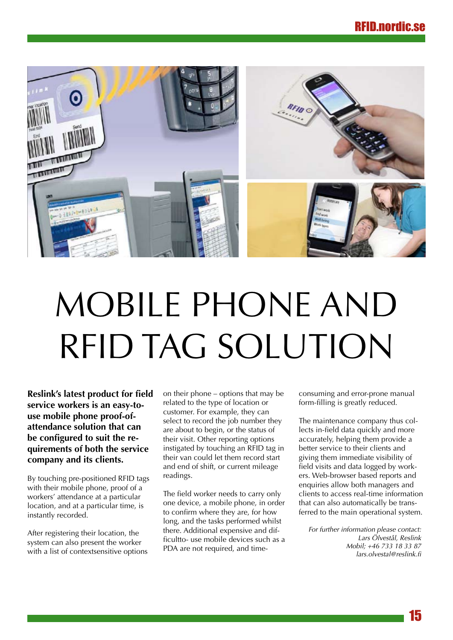

# Mobile Phone and RFID TAG SOLUTION

**Reslink's latest product for field service workers is an easy-touse mobile phone proof-ofattendance solution that can be configured to suit the requirements of both the service company and its clients.**

By touching pre-positioned RFID tags with their mobile phone, proof of a workers' attendance at a particular location, and at a particular time, is instantly recorded.

After registering their location, the system can also present the worker with a list of contextsensitive options on their phone – options that may be related to the type of location or customer. For example, they can select to record the job number they are about to begin, or the status of their visit. Other reporting options instigated by touching an RFID tag in their van could let them record start and end of shift, or current mileage readings.

The field worker needs to carry only one device, a mobile phone, in order to confirm where they are, for how long, and the tasks performed whilst there. Additional expensive and difficultto- use mobile devices such as a PDA are not required, and timeconsuming and error-prone manual form-filling is greatly reduced.

The maintenance company thus collects in-field data quickly and more accurately, helping them provide a better service to their clients and giving them immediate visibility of field visits and data logged by workers. Web-browser based reports and enquiries allow both managers and clients to access real-time information that can also automatically be transferred to the main operational system.

*For further information please contact: Lars Ölvestål, Reslink Mobil; +46 733 18 33 87 lars.olvestal@reslink.fi*

15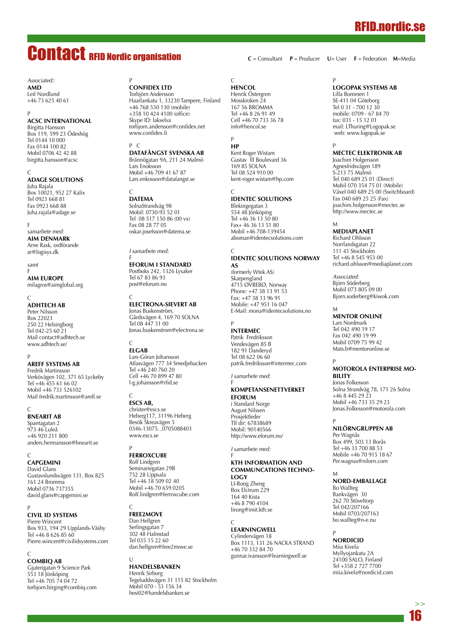# RFID.nordic.se

# Contact RFID Nordic organisation

*Associated:*: **AMD** Leif Nordlund +46 73 625 40 61

#### P **ACSC International**

Birgitta Hansson Box 119, 599 23 Ödeshög Tel 0144 10 000 Fax 0144 100 82 Mobil 0706 42 42 88 birgitta.hansson@acsc

C **ADAGE SC** Juha Rajala

Box 10021, 952 27 Kalix Tel 0923 668 81 Fax 0923 668 88 Juha.rajala@adage.se

F *samarbete med:* **AIM Denmark** Arne Rask, ordförande ar@logisys.dk

*samt* F **AIM Europe** milagros@aimglobal.org

# $\Gamma$

**AdhTech AB** Peter Nilsson Box 22023 250 22 Helsingborg Tel 042-25 60 21 Mail contact@adhtech.se www.adhtech.se/

### P

**Areff Systems AB** Fredrik Martinsson Verkövägen 102, 371 65 Lyckeby Tel +46 455 61 66 02 Mobil +46 733 526102 Mail fredrik.martinsson@areff.se

C

**BnearIT AB** Spantagatan 2 973 46 Luleå +46 920 211 800 anders.hermansson@bnearit.se

C **CAPGEMINI** David Glans Gustavslundsvägen 131, Box 825 161 24 Bromma

### Mobil 0736 737355 david.glans@capgemini.se P

**Civil ID Systems** Pierre Wincent Box 933, 194 29 Upplands-Väsby Tel +46 8 626 85 60 Pierre.wincent@civilidsystems.com

### C

l.

**CombiQ AB** Gjuterigatan 9 Science Park 553 18 Jönköping Tel +46 705 74 04 72 torbjorn.birging@combiq.com

P **Confidex Ltd** Torbjörn Andersson Haarlankatu 1, 33230 Tampere, Finland +46 768 530 130 (mobile) +358 10 424 4100 (office) Skype ID: lakselva torbjorn.andersson@confidex.net www.confidex.fi

#### P C

**DataFångst Svenska AB** Brännögatan 9A, 211 24 Malmö Lars Enoksson Mobil +46 709 41 67 87 Lars.enkosson@datafangst.se

#### C **DATEMA**

SolnaStrandväg 98 Mobil: 0730-93 52 01 Tel 08 517 150 86 (00 vx) Fax 08 28 77 05 oskar.josefsson@datema.se

*I samarbete med:*

F **Eforum i Standard** Postboks 242, 1326 Lysaker Tel 67 83 86 93 post@eforum.no

**Electrona-Sievert AB** Jonas Buskenström,

Gårdsvägen 4, 169 70 SOLNA Tel 08 447 31 00 Jonas.buskenstrom@electrona.se

#### C **ELGAB**

 $\mathcal{C}$ 

Lars-Göran Johansson Atlasvägen 777 34 Smedjebacken Tel +46 240 760 20 Cell +46 70 899 47 80 l-g.johansson@rfid.se

### C

**ESCS AB,** christer@escs.se Heberg117, 31196 Heberg Besök Skreavägen 5 0346-13075. ,0705088403 www.escs.se

#### P **FERROXCUBE**

Rolf Lindgren Seminariegatan 29B 752 28 Uppsala Tel +46 18 509 02 40 Mobil +46 70 659 0205 Rolf.lindgren@ferroxcube.com

#### C **FREE2MOVE**

Dan Hellgren Serlingsgatan 7 302 48 Halmstad Tel 035 15 22 60 dan.hellgren@free2move.se

#### $\cup$ **Handelsbanken**

Henrik Sirborg Tegeluddsvägen 31 115 82 Stockholm Mobil 070 - 53 156 34 hesi02@handelsbanken.se

#### C **HENCOL**

Henrik Östergren Mosskroken 24 167 56 BROMMA Tel +46 8 26 91 49 Cell +46 70 733 36 78 info@hencol.se

# P

**HP** Kent Roger Wistam Gustav lll Boulevard 36 169 85 SOLNA Tel 08 524 910 00 kent-roger.wistam@hp.com

#### C **IDENTEC SOLUTIONS**

Blekingegatan 3 554 48 Jönköping Tel +46 36 13 50 80 Fax+ 46 36 13 51 80 Mobil +46 708-139454 aboman@identecsolutions.com

#### $\sqrt{ }$ **IDENTEC SOLUTIONS Norway AS**

(formerly Wtek AS) Skarpengland 4715 ØVREBØ, Norway Phone: +47 38 13 91 53 Fax: +47 38 13 96 91 Mobile: +47 951 16 047 E-Mail: mona@identecsolutions.no

#### P **INTERMEC**

Patrik Fredriksson Vendevägen 85 B 182 91 Danderyd Tel 08 622 06 60 patrik.fredriksson@intermec.com

*I samarbete med:*

#### F **Kompetansenettverket eforum**

i Standard Norge August Nilssen Prosjektleder Tlf dir: 67838689 Mobil: 90140566 http://www.eforum.no/

*I samarbete med:* F

#### **KTH Information and Communcations Technology** LI-Rong Zheng

Box Elctrum 229 164 40 Kista +46 8 790 4104 lirong@imit.kth.se

#### C **LEARNINGWE**

Cylindervägen 18 Box 1113, 131 26 NACKA STRAND +46 70 332 84 70 gunnar.ivansson@learningwell.se

# **Logopak Systems AB**

P

**C** = Consultant **P** = Producer **U**= User **F** = Federation **M**=Media

Lilla Bommen 1 SE-411 04 Göteborg Tel 0 31 - 700 12 30 mobile: 0709 - 67 84 70 fax: 031 - 15 12 01 mail: LThuring@Logopak.se

web: www.logopak.se

#### P **MECTEC Elektronik AB**

Joachim Holgersson Agnesfridsvägen 189 S-213 75 Malmö Tel 040 689 25 01 (Direct) Mobil 070 354 75 01 (Mobile) Växel 040 689 25 00 (Switchboard) Fax 040 689 25 25 (Fax) joachim.holgersson@mectec.se http://www.mectec.se

#### M **MEDIAPLANET**

Richard Ohlsson Norrlandsgatan 22 111 43 Stockholm Tel +46 8 545 953 00 richard.ohlsson@mediaplanet.com

*Associated:* Björn Söderberg Mobil 073 805 09 00 Bjorn.soderberg@kiwok.com

#### M **MENTOR ONLINE**

Lars Nordmark Tel 042 490 19 17 Fax 042 490 19 99 Mobil 0709 75 99 42 Mats.b@mentoronline.se

#### P **MOTOROLA Enterprise Mobility**

Jonas Folkesson Solna Strandväg 78, 171 26 Solna +46 8 445 29 23 Mobil +46 733 35 29 23 Jonas.Folkesson@motorola.com

#### P **NILÖRNGRUPPEN AB**

Per Wagnås Box 499, 503 13 Borås Tel +46 33 700 88 53 Mobile +46 70 915 18 67 Per.wagnas@nilorn.com

#### M **nord-emballage**

Bo Wallteg Bankvägen 30 262 70 Stöveltorp Tel 042/207166 Mobil 0703/207163 bo.wallteg@n-e.nu

#### **NORDICID**

P

Miia Kivela Myllyojankatu 2A 24100 SALO, Finland Tel +358 2 727 7700 miia.kivela@nordicid.com